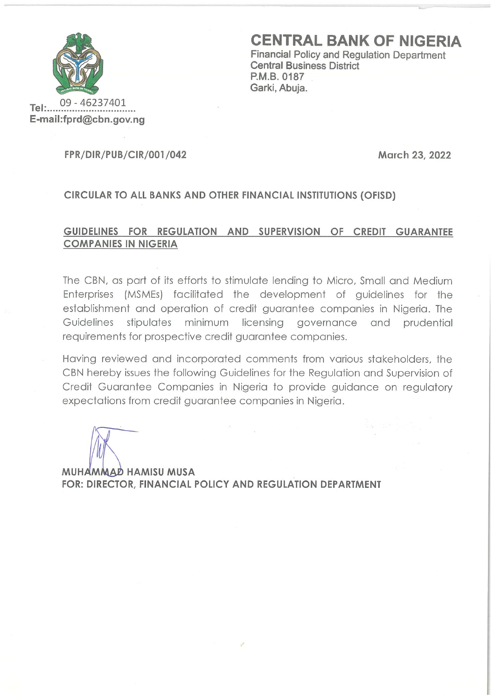

**CENTRAL BANK OF NIGERIA** 

**Financial Policy and Regulation Department Central Business District** P.M.B. 0187 Garki, Abuja.

09 - 46237401  $Tel:$ E-mail:fprd@cbn.gov.ng

#### **FPR/DIR/PUB/CIR/001/042**

March 23, 2022

# CIRCULAR TO ALL BANKS AND OTHER FINANCIAL INSTITUTIONS (OFISD)

# GUIDELINES FOR REGULATION AND SUPERVISION OF CREDIT GUARANTEE **COMPANIES IN NIGERIA**

The CBN, as part of its efforts to stimulate lending to Micro, Small and Medium Enterprises (MSMEs) facilitated the development of guidelines for the establishment and operation of credit guarantee companies in Nigeria. The stipulates minimum licensing governance and Guidelines prudential requirements for prospective credit quarantee companies.

Having reviewed and incorporated comments from various stakeholders, the CBN hereby issues the following Guidelines for the Regulation and Supervision of Credit Guarantee Companies in Nigeria to provide guidance on regulatory expectations from credit quarantee companies in Nigeria.

MUHAMMAD HAMISU MUSA FOR: DIRECTOR, FINANCIAL POLICY AND REGULATION DEPARTMENT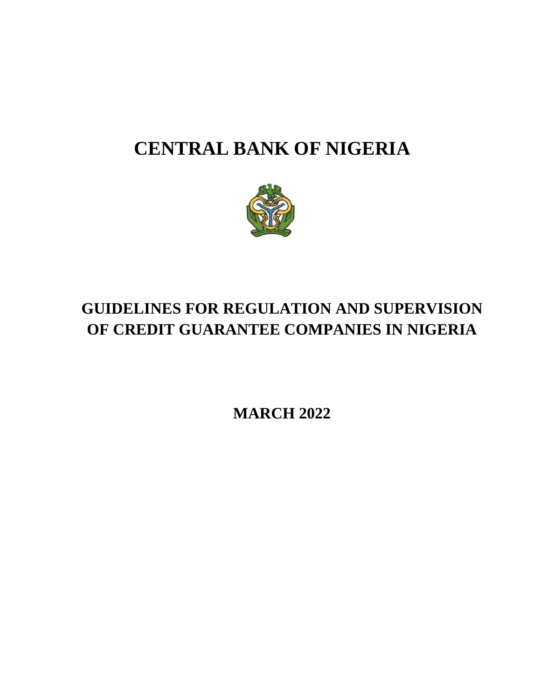# **CENTRAL BANK OF NIGERIA**



# **GUIDELINES FOR REGULATION AND SUPERVISION OF CREDIT GUARANTEE COMPANIES IN NIGERIA**

**MARCH 2022**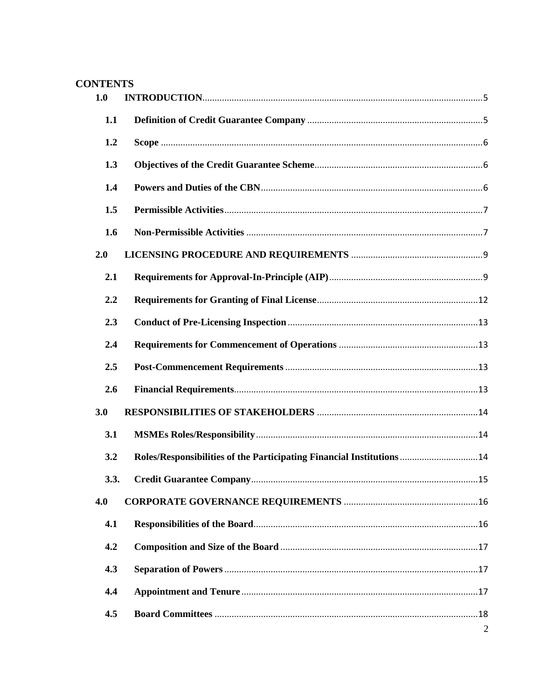# **CONTENTS**

| 1.0  |                                                                       |                |
|------|-----------------------------------------------------------------------|----------------|
| 1.1  |                                                                       |                |
| 1.2  |                                                                       |                |
| 1.3  |                                                                       |                |
| 1.4  |                                                                       |                |
| 1.5  |                                                                       |                |
| 1.6  |                                                                       |                |
| 2.0  |                                                                       |                |
| 2.1  |                                                                       |                |
| 2.2  |                                                                       |                |
| 2.3  |                                                                       |                |
| 2.4  |                                                                       |                |
| 2.5  |                                                                       |                |
| 2.6  |                                                                       |                |
| 3.0  |                                                                       |                |
| 3.1  |                                                                       |                |
| 3.2  | Roles/Responsibilities of the Participating Financial Institutions 14 |                |
| 3.3. |                                                                       |                |
| 4.0  |                                                                       |                |
| 4.1  |                                                                       |                |
| 4.2  |                                                                       |                |
| 4.3  |                                                                       |                |
| 4.4  |                                                                       |                |
| 4.5  |                                                                       |                |
|      |                                                                       | $\overline{2}$ |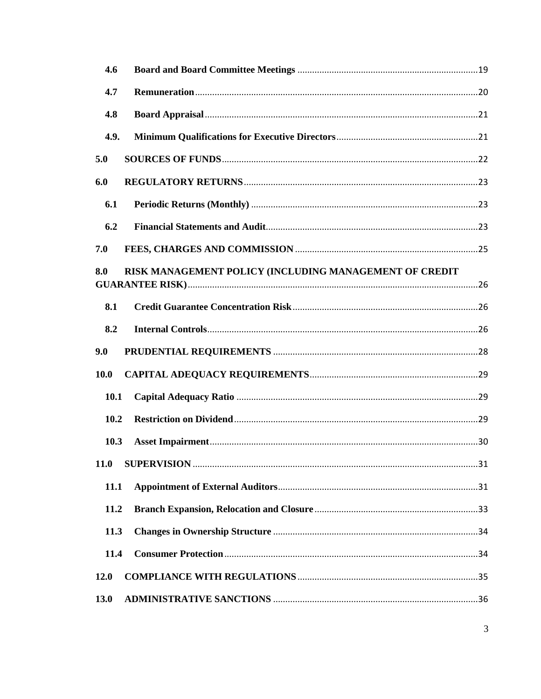| 4.6                                                           |  |
|---------------------------------------------------------------|--|
| 4.7                                                           |  |
| 4.8                                                           |  |
| 4.9.                                                          |  |
| 5.0                                                           |  |
| 6.0                                                           |  |
| 6.1                                                           |  |
| 6.2                                                           |  |
| 7.0                                                           |  |
| RISK MANAGEMENT POLICY (INCLUDING MANAGEMENT OF CREDIT<br>8.0 |  |
| 8.1                                                           |  |
| 8.2                                                           |  |
| 9.0                                                           |  |
| <b>10.0</b>                                                   |  |
| 10.1                                                          |  |
| 10.2                                                          |  |
| 10.3                                                          |  |
| 11.0                                                          |  |
| <b>11.1</b>                                                   |  |
| 11.2                                                          |  |
| 11.3                                                          |  |
| 11.4                                                          |  |
| <b>12.0</b>                                                   |  |
| 13.0                                                          |  |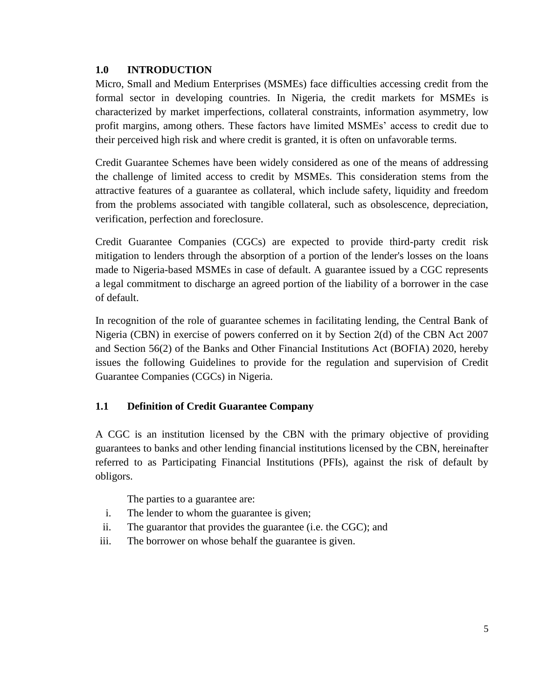# <span id="page-5-0"></span>**1.0 INTRODUCTION**

Micro, Small and Medium Enterprises (MSMEs) face difficulties accessing credit from the formal sector in developing countries. In Nigeria, the credit markets for MSMEs is characterized by market imperfections, collateral constraints, information asymmetry, low profit margins, among others. These factors have limited MSMEs' access to credit due to their perceived high risk and where credit is granted, it is often on unfavorable terms.

Credit Guarantee Schemes have been widely considered as one of the means of addressing the challenge of limited access to credit by MSMEs. This consideration stems from the attractive features of a guarantee as collateral, which include safety, liquidity and freedom from the problems associated with tangible collateral, such as obsolescence, depreciation, verification, perfection and foreclosure.

Credit Guarantee Companies (CGCs) are expected to provide third-party credit risk mitigation to lenders through the absorption of a portion of the lender's losses on the loans made to Nigeria-based MSMEs in case of default. A guarantee issued by a CGC represents a legal commitment to discharge an agreed portion of the liability of a borrower in the case of default.

In recognition of the role of guarantee schemes in facilitating lending, the Central Bank of Nigeria (CBN) in exercise of powers conferred on it by Section 2(d) of the CBN Act 2007 and Section 56(2) of the Banks and Other Financial Institutions Act (BOFIA) 2020, hereby issues the following Guidelines to provide for the regulation and supervision of Credit Guarantee Companies (CGCs) in Nigeria.

# <span id="page-5-1"></span>**1.1 Definition of Credit Guarantee Company**

A CGC is an institution licensed by the CBN with the primary objective of providing guarantees to banks and other lending financial institutions licensed by the CBN, hereinafter referred to as Participating Financial Institutions (PFIs), against the risk of default by obligors.

The parties to a guarantee are:

- i. The lender to whom the guarantee is given;
- ii. The guarantor that provides the guarantee (i.e. the CGC); and
- iii. The borrower on whose behalf the guarantee is given.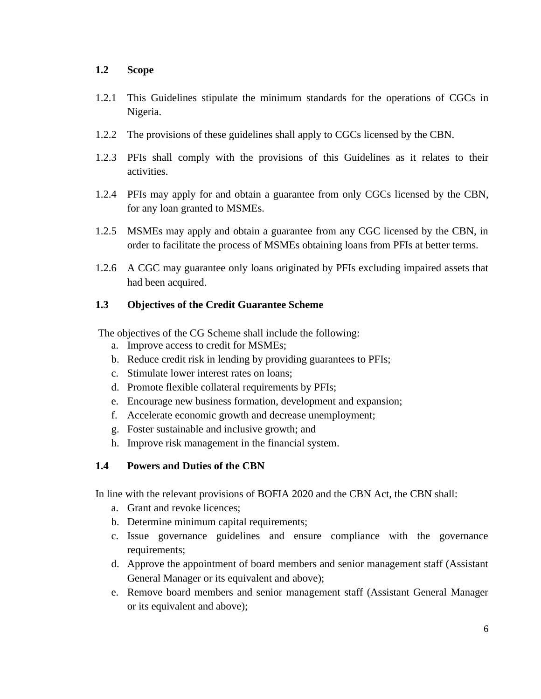#### <span id="page-6-0"></span>**1.2 Scope**

- 1.2.1 This Guidelines stipulate the minimum standards for the operations of CGCs in Nigeria.
- 1.2.2 The provisions of these guidelines shall apply to CGCs licensed by the CBN.
- 1.2.3 PFIs shall comply with the provisions of this Guidelines as it relates to their activities.
- 1.2.4 PFIs may apply for and obtain a guarantee from only CGCs licensed by the CBN, for any loan granted to MSMEs.
- 1.2.5 MSMEs may apply and obtain a guarantee from any CGC licensed by the CBN, in order to facilitate the process of MSMEs obtaining loans from PFIs at better terms.
- 1.2.6 A CGC may guarantee only loans originated by PFIs excluding impaired assets that had been acquired.

# <span id="page-6-1"></span>**1.3 Objectives of the Credit Guarantee Scheme**

The objectives of the CG Scheme shall include the following:

- a. Improve access to credit for MSMEs;
- b. Reduce credit risk in lending by providing guarantees to PFIs;
- c. Stimulate lower interest rates on loans;
- d. Promote flexible collateral requirements by PFIs;
- e. Encourage new business formation, development and expansion;
- f. Accelerate economic growth and decrease unemployment;
- g. Foster sustainable and inclusive growth; and
- h. Improve risk management in the financial system.

# <span id="page-6-2"></span>**1.4 Powers and Duties of the CBN**

In line with the relevant provisions of BOFIA 2020 and the CBN Act, the CBN shall:

- a. Grant and revoke licences;
- b. Determine minimum capital requirements;
- c. Issue governance guidelines and ensure compliance with the governance requirements;
- d. Approve the appointment of board members and senior management staff (Assistant General Manager or its equivalent and above);
- e. Remove board members and senior management staff (Assistant General Manager or its equivalent and above);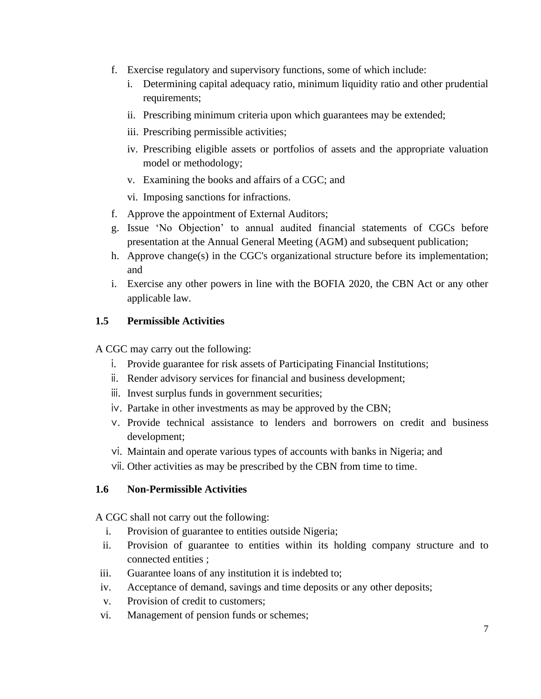- f. Exercise regulatory and supervisory functions, some of which include:
	- i. Determining capital adequacy ratio, minimum liquidity ratio and other prudential requirements;
	- ii. Prescribing minimum criteria upon which guarantees may be extended;
	- iii. Prescribing permissible activities;
	- iv. Prescribing eligible assets or portfolios of assets and the appropriate valuation model or methodology;
	- v. Examining the books and affairs of a CGC; and
	- vi. Imposing sanctions for infractions.
- f. Approve the appointment of External Auditors;
- g. Issue 'No Objection' to annual audited financial statements of CGCs before presentation at the Annual General Meeting (AGM) and subsequent publication;
- h. Approve change(s) in the CGC's organizational structure before its implementation; and
- i. Exercise any other powers in line with the BOFIA 2020, the CBN Act or any other applicable law.

#### <span id="page-7-0"></span>**1.5 Permissible Activities**

A CGC may carry out the following:

- i. Provide guarantee for risk assets of Participating Financial Institutions;
- ii. Render advisory services for financial and business development;
- iii. Invest surplus funds in government securities;
- iv. Partake in other investments as may be approved by the CBN;
- v. Provide technical assistance to lenders and borrowers on credit and business development;
- vi. Maintain and operate various types of accounts with banks in Nigeria; and
- vii. Other activities as may be prescribed by the CBN from time to time.

#### <span id="page-7-1"></span>**1.6 Non-Permissible Activities**

A CGC shall not carry out the following:

- i. Provision of guarantee to entities outside Nigeria;
- ii. Provision of guarantee to entities within its holding company structure and to connected entities ;
- iii. Guarantee loans of any institution it is indebted to;
- iv. Acceptance of demand, savings and time deposits or any other deposits;
- v. Provision of credit to customers;
- vi. Management of pension funds or schemes;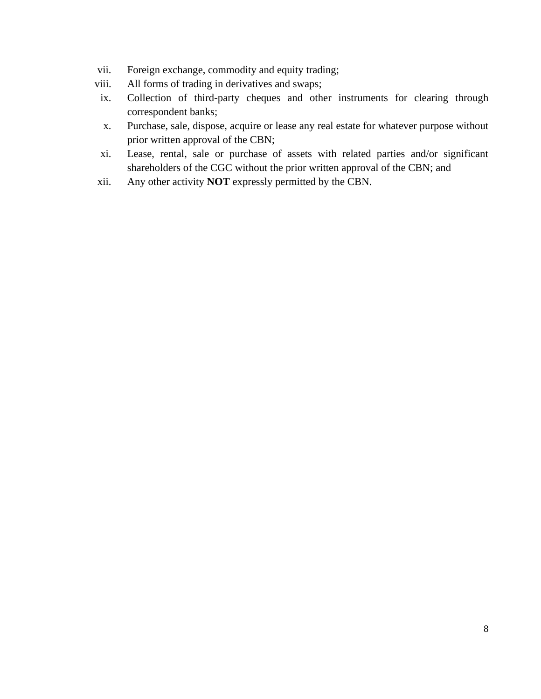- vii. Foreign exchange, commodity and equity trading;
- viii. All forms of trading in derivatives and swaps;
- ix. Collection of third-party cheques and other instruments for clearing through correspondent banks;
- x. Purchase, sale, dispose, acquire or lease any real estate for whatever purpose without prior written approval of the CBN;
- xi. Lease, rental, sale or purchase of assets with related parties and/or significant shareholders of the CGC without the prior written approval of the CBN; and
- xii. Any other activity **NOT** expressly permitted by the CBN.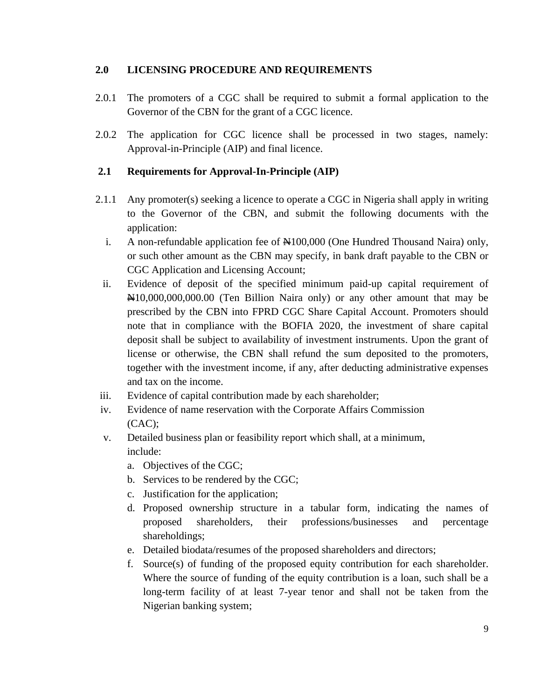# <span id="page-9-0"></span>**2.0 LICENSING PROCEDURE AND REQUIREMENTS**

- 2.0.1 The promoters of a CGC shall be required to submit a formal application to the Governor of the CBN for the grant of a CGC licence.
- 2.0.2 The application for CGC licence shall be processed in two stages, namely: Approval-in-Principle (AIP) and final licence.

# <span id="page-9-1"></span>**2.1 Requirements for Approval-In-Principle (AIP)**

- 2.1.1 Any promoter(s) seeking a licence to operate a CGC in Nigeria shall apply in writing to the Governor of the CBN, and submit the following documents with the application:
	- i. A non-refundable application fee of  $\text{\#}100,000$  (One Hundred Thousand Naira) only, or such other amount as the CBN may specify, in bank draft payable to the CBN or CGC Application and Licensing Account;
	- ii. Evidence of deposit of the specified minimum paid-up capital requirement of N10,000,000,000.00 (Ten Billion Naira only) or any other amount that may be prescribed by the CBN into FPRD CGC Share Capital Account. Promoters should note that in compliance with the BOFIA 2020, the investment of share capital deposit shall be subject to availability of investment instruments. Upon the grant of license or otherwise, the CBN shall refund the sum deposited to the promoters, together with the investment income, if any, after deducting administrative expenses and tax on the income.
- iii. Evidence of capital contribution made by each shareholder;
- iv. Evidence of name reservation with the Corporate Affairs Commission  $(CAC)$ :
- v. Detailed business plan or feasibility report which shall, at a minimum, include:
	- a. Objectives of the CGC;
	- b. Services to be rendered by the CGC;
	- c. Justification for the application;
	- d. Proposed ownership structure in a tabular form, indicating the names of proposed shareholders, their professions/businesses and percentage shareholdings;
	- e. Detailed biodata/resumes of the proposed shareholders and directors;
	- f. Source(s) of funding of the proposed equity contribution for each shareholder. Where the source of funding of the equity contribution is a loan, such shall be a long-term facility of at least 7-year tenor and shall not be taken from the Nigerian banking system;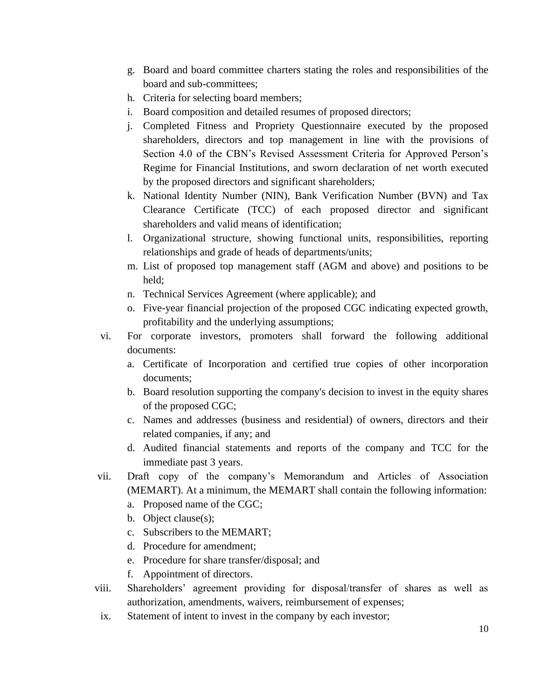- g. Board and board committee charters stating the roles and responsibilities of the board and sub-committees;
- h. Criteria for selecting board members;
- i. Board composition and detailed resumes of proposed directors;
- j. Completed Fitness and Propriety Questionnaire executed by the proposed shareholders, directors and top management in line with the provisions of Section 4.0 of the CBN's Revised Assessment Criteria for Approved Person's Regime for Financial Institutions, and sworn declaration of net worth executed by the proposed directors and significant shareholders;
- k. National Identity Number (NIN), Bank Verification Number (BVN) and Tax Clearance Certificate (TCC) of each proposed director and significant shareholders and valid means of identification;
- l. Organizational structure, showing functional units, responsibilities, reporting relationships and grade of heads of departments/units;
- m. List of proposed top management staff (AGM and above) and positions to be held;
- n. Technical Services Agreement (where applicable); and
- o. Five-year financial projection of the proposed CGC indicating expected growth, profitability and the underlying assumptions;
- vi. For corporate investors, promoters shall forward the following additional documents:
	- a. Certificate of Incorporation and certified true copies of other incorporation documents;
	- b. Board resolution supporting the company's decision to invest in the equity shares of the proposed CGC;
	- c. Names and addresses (business and residential) of owners, directors and their related companies, if any; and
	- d. Audited financial statements and reports of the company and TCC for the immediate past 3 years.
- vii. Draft copy of the company's Memorandum and Articles of Association (MEMART). At a minimum, the MEMART shall contain the following information:
	- a. Proposed name of the CGC;
	- b. Object clause(s);
	- c. Subscribers to the MEMART;
	- d. Procedure for amendment;
	- e. Procedure for share transfer/disposal; and
	- f. Appointment of directors.
- viii. Shareholders' agreement providing for disposal/transfer of shares as well as authorization, amendments, waivers, reimbursement of expenses;
- ix. Statement of intent to invest in the company by each investor;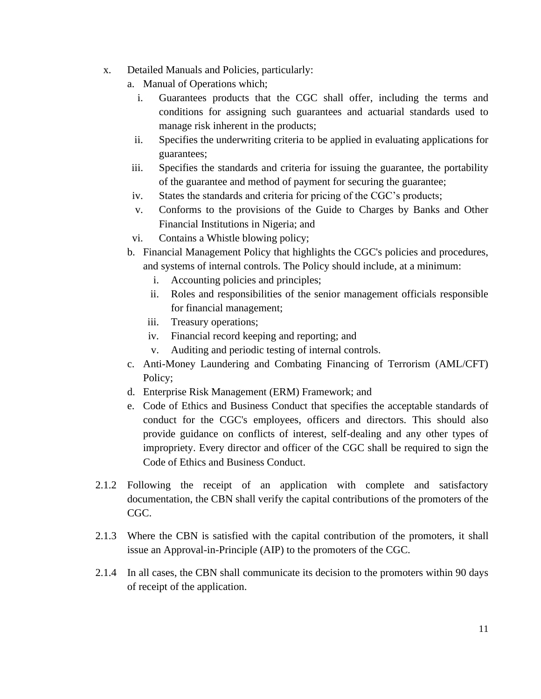- x. Detailed Manuals and Policies, particularly:
	- a. Manual of Operations which;
		- i. Guarantees products that the CGC shall offer, including the terms and conditions for assigning such guarantees and actuarial standards used to manage risk inherent in the products;
		- ii. Specifies the underwriting criteria to be applied in evaluating applications for guarantees;
	- iii. Specifies the standards and criteria for issuing the guarantee, the portability of the guarantee and method of payment for securing the guarantee;
	- iv. States the standards and criteria for pricing of the CGC's products;
	- v. Conforms to the provisions of the Guide to Charges by Banks and Other Financial Institutions in Nigeria; and
	- vi. Contains a Whistle blowing policy;
	- b. Financial Management Policy that highlights the CGC's policies and procedures, and systems of internal controls. The Policy should include, at a minimum:
		- i. Accounting policies and principles;
		- ii. Roles and responsibilities of the senior management officials responsible for financial management;
		- iii. Treasury operations;
		- iv. Financial record keeping and reporting; and
		- v. Auditing and periodic testing of internal controls.
	- c. Anti-Money Laundering and Combating Financing of Terrorism (AML/CFT) Policy;
	- d. Enterprise Risk Management (ERM) Framework; and
	- e. Code of Ethics and Business Conduct that specifies the acceptable standards of conduct for the CGC's employees, officers and directors. This should also provide guidance on conflicts of interest, self-dealing and any other types of impropriety. Every director and officer of the CGC shall be required to sign the Code of Ethics and Business Conduct.
- 2.1.2 Following the receipt of an application with complete and satisfactory documentation, the CBN shall verify the capital contributions of the promoters of the CGC.
- 2.1.3 Where the CBN is satisfied with the capital contribution of the promoters, it shall issue an Approval-in-Principle (AIP) to the promoters of the CGC.
- 2.1.4 In all cases, the CBN shall communicate its decision to the promoters within 90 days of receipt of the application.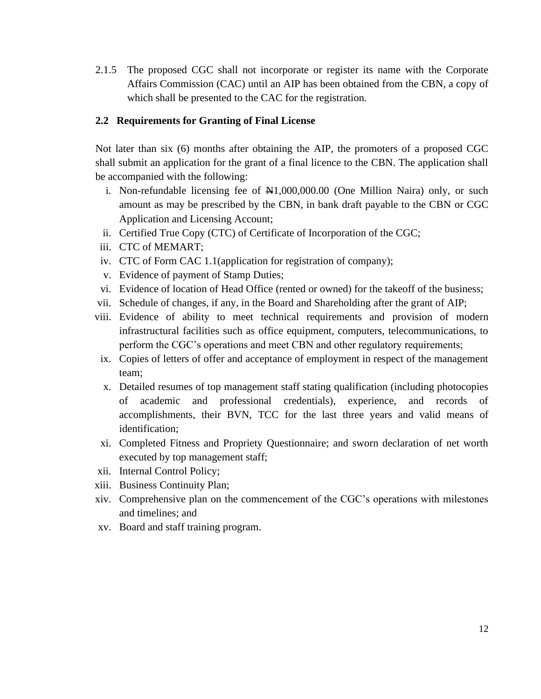2.1.5 The proposed CGC shall not incorporate or register its name with the Corporate Affairs Commission (CAC) until an AIP has been obtained from the CBN, a copy of which shall be presented to the CAC for the registration.

# <span id="page-12-0"></span>**2.2 Requirements for Granting of Final License**

Not later than six (6) months after obtaining the AIP, the promoters of a proposed CGC shall submit an application for the grant of a final licence to the CBN. The application shall be accompanied with the following:

- i. Non-refundable licensing fee of  $\mathbb{N}1,000,000.00$  (One Million Naira) only, or such amount as may be prescribed by the CBN, in bank draft payable to the CBN or CGC Application and Licensing Account;
- ii. Certified True Copy (CTC) of Certificate of Incorporation of the CGC;
- iii. CTC of MEMART;
- iv. CTC of Form CAC 1.1(application for registration of company);
- v. Evidence of payment of Stamp Duties;
- vi. Evidence of location of Head Office (rented or owned) for the takeoff of the business;
- vii. Schedule of changes, if any, in the Board and Shareholding after the grant of AIP;
- viii. Evidence of ability to meet technical requirements and provision of modern infrastructural facilities such as office equipment, computers, telecommunications, to perform the CGC's operations and meet CBN and other regulatory requirements;
- ix. Copies of letters of offer and acceptance of employment in respect of the management team;
- x. Detailed resumes of top management staff stating qualification (including photocopies of academic and professional credentials), experience, and records of accomplishments, their BVN, TCC for the last three years and valid means of identification;
- xi. Completed Fitness and Propriety Questionnaire; and sworn declaration of net worth executed by top management staff;
- xii. Internal Control Policy;
- xiii. Business Continuity Plan;
- xiv. Comprehensive plan on the commencement of the CGC's operations with milestones and timelines; and
- xv. Board and staff training program.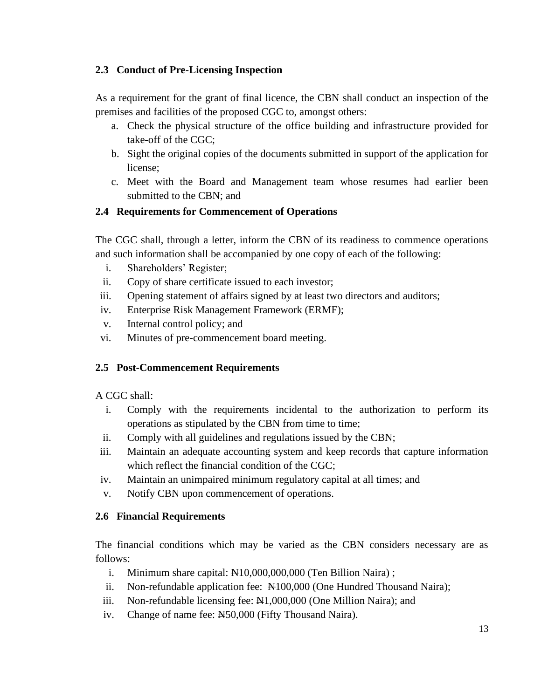# <span id="page-13-0"></span>**2.3 Conduct of Pre-Licensing Inspection**

As a requirement for the grant of final licence, the CBN shall conduct an inspection of the premises and facilities of the proposed CGC to, amongst others:

- a. Check the physical structure of the office building and infrastructure provided for take-off of the CGC;
- b. Sight the original copies of the documents submitted in support of the application for license;
- c. Meet with the Board and Management team whose resumes had earlier been submitted to the CBN; and

# <span id="page-13-1"></span>**2.4 Requirements for Commencement of Operations**

The CGC shall, through a letter, inform the CBN of its readiness to commence operations and such information shall be accompanied by one copy of each of the following:

- i. Shareholders' Register;
- ii. Copy of share certificate issued to each investor;
- iii. Opening statement of affairs signed by at least two directors and auditors;
- iv. Enterprise Risk Management Framework (ERMF);
- v. Internal control policy; and
- vi. Minutes of pre-commencement board meeting.

# <span id="page-13-2"></span>**2.5 Post-Commencement Requirements**

# A CGC shall:

- i. Comply with the requirements incidental to the authorization to perform its operations as stipulated by the CBN from time to time;
- ii. Comply with all guidelines and regulations issued by the CBN;
- iii. Maintain an adequate accounting system and keep records that capture information which reflect the financial condition of the CGC;
- iv. Maintain an unimpaired minimum regulatory capital at all times; and
- v. Notify CBN upon commencement of operations.

# <span id="page-13-3"></span>**2.6 Financial Requirements**

The financial conditions which may be varied as the CBN considers necessary are as follows:

- i. Minimum share capital:  $\text{\#}10,000,000,000$  (Ten Billion Naira);
- ii. Non-refundable application fee:  $\mathbb{H}100,000$  (One Hundred Thousand Naira);
- iii. Non-refundable licensing fee:  $\mathbb{N}1,000,000$  (One Million Naira); and
- iv. Change of name fee: N50,000 (Fifty Thousand Naira).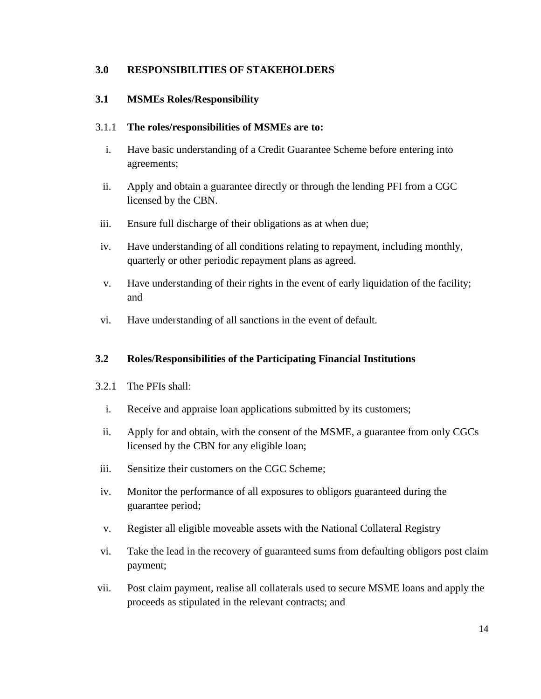# <span id="page-14-0"></span>**3.0 RESPONSIBILITIES OF STAKEHOLDERS**

# <span id="page-14-1"></span>**3.1 MSMEs Roles/Responsibility**

## 3.1.1 **The roles/responsibilities of MSMEs are to:**

- i. Have basic understanding of a Credit Guarantee Scheme before entering into agreements;
- ii. Apply and obtain a guarantee directly or through the lending PFI from a CGC licensed by the CBN.
- iii. Ensure full discharge of their obligations as at when due;
- iv. Have understanding of all conditions relating to repayment, including monthly, quarterly or other periodic repayment plans as agreed.
- v. Have understanding of their rights in the event of early liquidation of the facility; and
- vi. Have understanding of all sanctions in the event of default.

# <span id="page-14-2"></span>**3.2 Roles/Responsibilities of the Participating Financial Institutions**

- 3.2.1 The PFIs shall:
	- i. Receive and appraise loan applications submitted by its customers;
	- ii. Apply for and obtain, with the consent of the MSME, a guarantee from only CGCs licensed by the CBN for any eligible loan;
- iii. Sensitize their customers on the CGC Scheme;
- iv. Monitor the performance of all exposures to obligors guaranteed during the guarantee period;
- v. Register all eligible moveable assets with the National Collateral Registry
- vi. Take the lead in the recovery of guaranteed sums from defaulting obligors post claim payment;
- vii. Post claim payment, realise all collaterals used to secure MSME loans and apply the proceeds as stipulated in the relevant contracts; and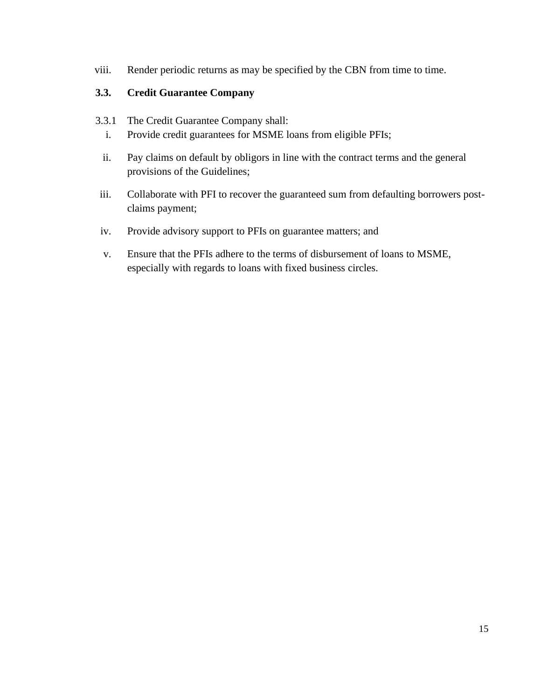viii. Render periodic returns as may be specified by the CBN from time to time.

# <span id="page-15-0"></span>**3.3. Credit Guarantee Company**

- 3.3.1 The Credit Guarantee Company shall:
	- i. Provide credit guarantees for MSME loans from eligible PFIs;
	- ii. Pay claims on default by obligors in line with the contract terms and the general provisions of the Guidelines;
- iii. Collaborate with PFI to recover the guaranteed sum from defaulting borrowers postclaims payment;
- iv. Provide advisory support to PFIs on guarantee matters; and
- v. Ensure that the PFIs adhere to the terms of disbursement of loans to MSME, especially with regards to loans with fixed business circles.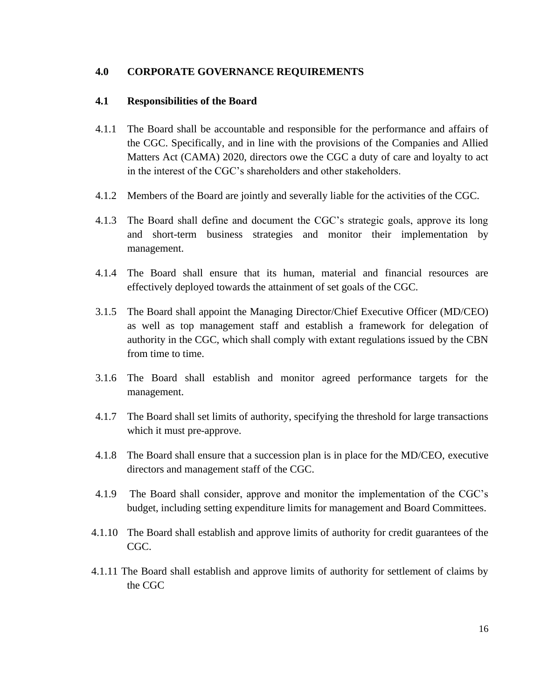#### <span id="page-16-0"></span>**4.0 CORPORATE GOVERNANCE REQUIREMENTS**

#### <span id="page-16-1"></span>**4.1 Responsibilities of the Board**

- 4.1.1 The Board shall be accountable and responsible for the performance and affairs of the CGC. Specifically, and in line with the provisions of the Companies and Allied Matters Act (CAMA) 2020, directors owe the CGC a duty of care and loyalty to act in the interest of the CGC's shareholders and other stakeholders.
- 4.1.2 Members of the Board are jointly and severally liable for the activities of the CGC.
- 4.1.3 The Board shall define and document the CGC's strategic goals, approve its long and short-term business strategies and monitor their implementation by management.
- 4.1.4 The Board shall ensure that its human, material and financial resources are effectively deployed towards the attainment of set goals of the CGC.
- 3.1.5 The Board shall appoint the Managing Director/Chief Executive Officer (MD/CEO) as well as top management staff and establish a framework for delegation of authority in the CGC, which shall comply with extant regulations issued by the CBN from time to time.
- 3.1.6 The Board shall establish and monitor agreed performance targets for the management.
- 4.1.7 The Board shall set limits of authority, specifying the threshold for large transactions which it must pre-approve.
- 4.1.8 The Board shall ensure that a succession plan is in place for the MD/CEO, executive directors and management staff of the CGC.
- 4.1.9 The Board shall consider, approve and monitor the implementation of the CGC's budget, including setting expenditure limits for management and Board Committees.
- 4.1.10 The Board shall establish and approve limits of authority for credit guarantees of the CGC.
- 4.1.11 The Board shall establish and approve limits of authority for settlement of claims by the CGC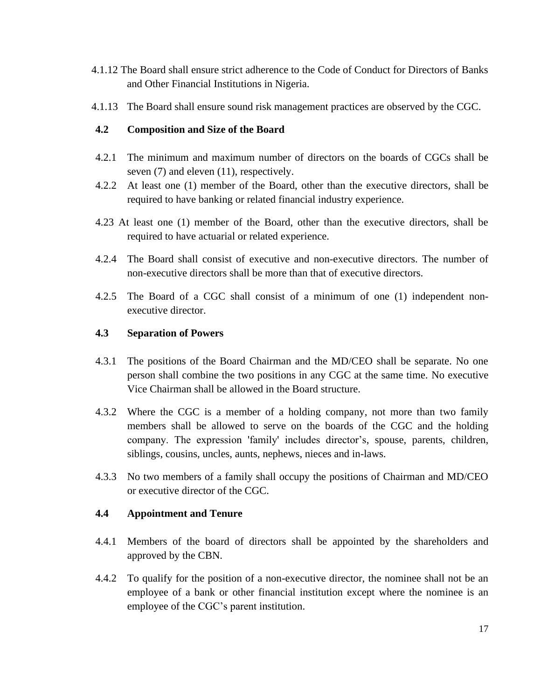- 4.1.12 The Board shall ensure strict adherence to the Code of Conduct for Directors of Banks and Other Financial Institutions in Nigeria.
- 4.1.13 The Board shall ensure sound risk management practices are observed by the CGC.

## <span id="page-17-0"></span>**4.2 Composition and Size of the Board**

- 4.2.1 The minimum and maximum number of directors on the boards of CGCs shall be seven (7) and eleven (11), respectively.
- 4.2.2 At least one (1) member of the Board, other than the executive directors, shall be required to have banking or related financial industry experience.
- 4.23 At least one (1) member of the Board, other than the executive directors, shall be required to have actuarial or related experience.
- 4.2.4 The Board shall consist of executive and non-executive directors. The number of non-executive directors shall be more than that of executive directors.
- 4.2.5 The Board of a CGC shall consist of a minimum of one (1) independent nonexecutive director.

#### <span id="page-17-1"></span>**4.3 Separation of Powers**

- 4.3.1 The positions of the Board Chairman and the MD/CEO shall be separate. No one person shall combine the two positions in any CGC at the same time. No executive Vice Chairman shall be allowed in the Board structure.
- 4.3.2 Where the CGC is a member of a holding company, not more than two family members shall be allowed to serve on the boards of the CGC and the holding company. The expression 'family' includes director's, spouse, parents, children, siblings, cousins, uncles, aunts, nephews, nieces and in-laws.
- 4.3.3 No two members of a family shall occupy the positions of Chairman and MD/CEO or executive director of the CGC.

#### <span id="page-17-2"></span>**4.4 Appointment and Tenure**

- 4.4.1 Members of the board of directors shall be appointed by the shareholders and approved by the CBN.
- 4.4.2 To qualify for the position of a non-executive director, the nominee shall not be an employee of a bank or other financial institution except where the nominee is an employee of the CGC's parent institution.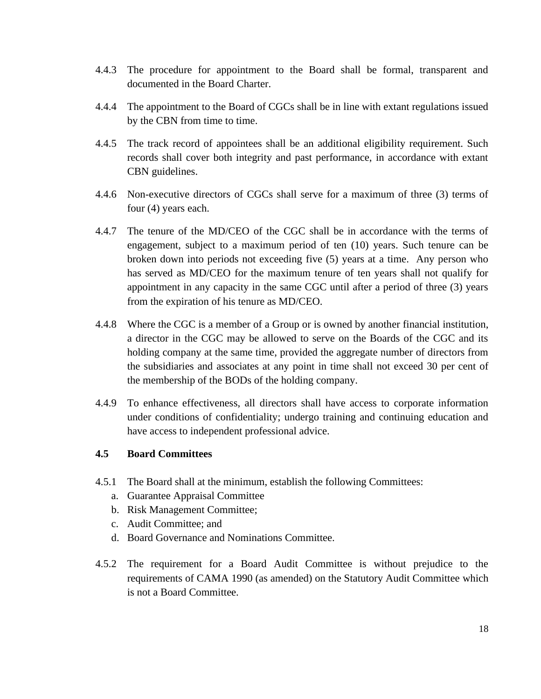- 4.4.3 The procedure for appointment to the Board shall be formal, transparent and documented in the Board Charter.
- 4.4.4 The appointment to the Board of CGCs shall be in line with extant regulations issued by the CBN from time to time.
- 4.4.5 The track record of appointees shall be an additional eligibility requirement. Such records shall cover both integrity and past performance, in accordance with extant CBN guidelines.
- 4.4.6 Non-executive directors of CGCs shall serve for a maximum of three (3) terms of four (4) years each.
- 4.4.7 The tenure of the MD/CEO of the CGC shall be in accordance with the terms of engagement, subject to a maximum period of ten (10) years. Such tenure can be broken down into periods not exceeding five (5) years at a time. Any person who has served as MD/CEO for the maximum tenure of ten years shall not qualify for appointment in any capacity in the same CGC until after a period of three (3) years from the expiration of his tenure as MD/CEO.
- 4.4.8 Where the CGC is a member of a Group or is owned by another financial institution, a director in the CGC may be allowed to serve on the Boards of the CGC and its holding company at the same time, provided the aggregate number of directors from the subsidiaries and associates at any point in time shall not exceed 30 per cent of the membership of the BODs of the holding company.
- 4.4.9 To enhance effectiveness, all directors shall have access to corporate information under conditions of confidentiality; undergo training and continuing education and have access to independent professional advice.

# <span id="page-18-0"></span>**4.5 Board Committees**

- 4.5.1 The Board shall at the minimum, establish the following Committees:
	- a. Guarantee Appraisal Committee
	- b. Risk Management Committee;
	- c. Audit Committee; and
	- d. Board Governance and Nominations Committee.
- 4.5.2 The requirement for a Board Audit Committee is without prejudice to the requirements of CAMA 1990 (as amended) on the Statutory Audit Committee which is not a Board Committee.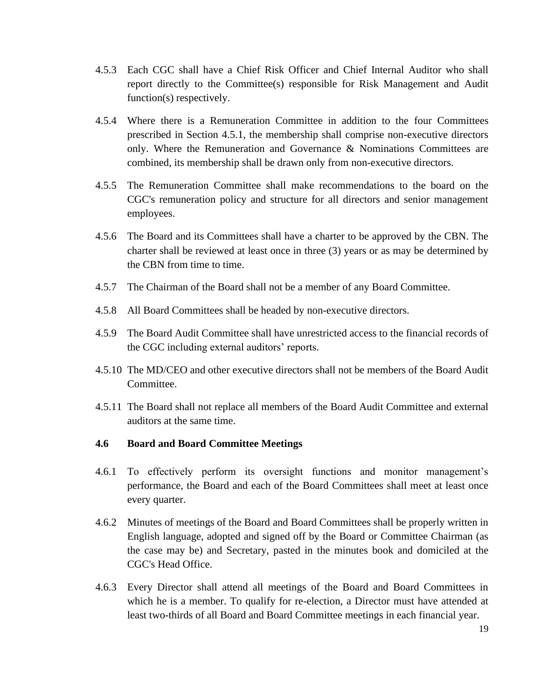- 4.5.3 Each CGC shall have a Chief Risk Officer and Chief Internal Auditor who shall report directly to the Committee(s) responsible for Risk Management and Audit function(s) respectively.
- 4.5.4 Where there is a Remuneration Committee in addition to the four Committees prescribed in Section 4.5.1, the membership shall comprise non-executive directors only. Where the Remuneration and Governance & Nominations Committees are combined, its membership shall be drawn only from non-executive directors.
- 4.5.5 The Remuneration Committee shall make recommendations to the board on the CGC's remuneration policy and structure for all directors and senior management employees.
- 4.5.6 The Board and its Committees shall have a charter to be approved by the CBN. The charter shall be reviewed at least once in three (3) years or as may be determined by the CBN from time to time.
- 4.5.7 The Chairman of the Board shall not be a member of any Board Committee.
- 4.5.8 All Board Committees shall be headed by non-executive directors.
- 4.5.9 The Board Audit Committee shall have unrestricted access to the financial records of the CGC including external auditors' reports.
- 4.5.10 The MD/CEO and other executive directors shall not be members of the Board Audit Committee.
- 4.5.11 The Board shall not replace all members of the Board Audit Committee and external auditors at the same time.

#### <span id="page-19-0"></span>**4.6 Board and Board Committee Meetings**

- 4.6.1 To effectively perform its oversight functions and monitor management's performance, the Board and each of the Board Committees shall meet at least once every quarter.
- 4.6.2 Minutes of meetings of the Board and Board Committees shall be properly written in English language, adopted and signed off by the Board or Committee Chairman (as the case may be) and Secretary, pasted in the minutes book and domiciled at the CGC's Head Office.
- 4.6.3 Every Director shall attend all meetings of the Board and Board Committees in which he is a member. To qualify for re-election, a Director must have attended at least two-thirds of all Board and Board Committee meetings in each financial year.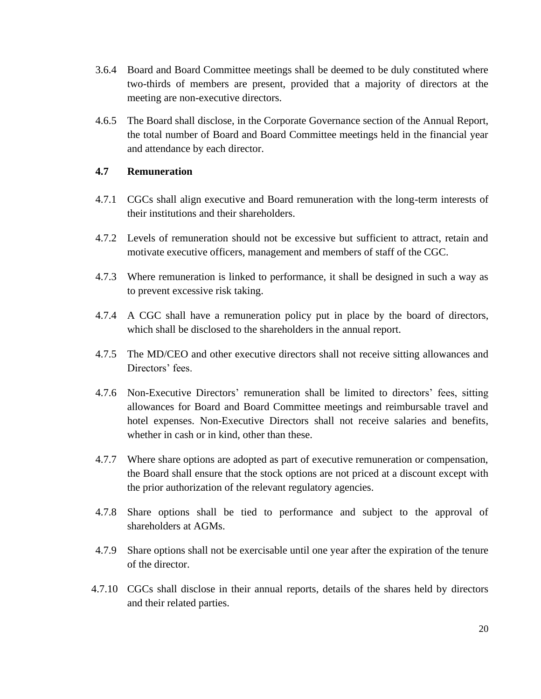- 3.6.4 Board and Board Committee meetings shall be deemed to be duly constituted where two-thirds of members are present, provided that a majority of directors at the meeting are non-executive directors.
- 4.6.5 The Board shall disclose, in the Corporate Governance section of the Annual Report, the total number of Board and Board Committee meetings held in the financial year and attendance by each director.

## <span id="page-20-0"></span>**4.7 Remuneration**

- 4.7.1 CGCs shall align executive and Board remuneration with the long-term interests of their institutions and their shareholders.
- 4.7.2 Levels of remuneration should not be excessive but sufficient to attract, retain and motivate executive officers, management and members of staff of the CGC.
- 4.7.3 Where remuneration is linked to performance, it shall be designed in such a way as to prevent excessive risk taking.
- 4.7.4 A CGC shall have a remuneration policy put in place by the board of directors, which shall be disclosed to the shareholders in the annual report.
- 4.7.5 The MD/CEO and other executive directors shall not receive sitting allowances and Directors' fees.
- 4.7.6 Non-Executive Directors' remuneration shall be limited to directors' fees, sitting allowances for Board and Board Committee meetings and reimbursable travel and hotel expenses. Non-Executive Directors shall not receive salaries and benefits, whether in cash or in kind, other than these.
- 4.7.7 Where share options are adopted as part of executive remuneration or compensation, the Board shall ensure that the stock options are not priced at a discount except with the prior authorization of the relevant regulatory agencies.
- 4.7.8 Share options shall be tied to performance and subject to the approval of shareholders at AGMs.
- 4.7.9 Share options shall not be exercisable until one year after the expiration of the tenure of the director.
- 4.7.10 CGCs shall disclose in their annual reports, details of the shares held by directors and their related parties.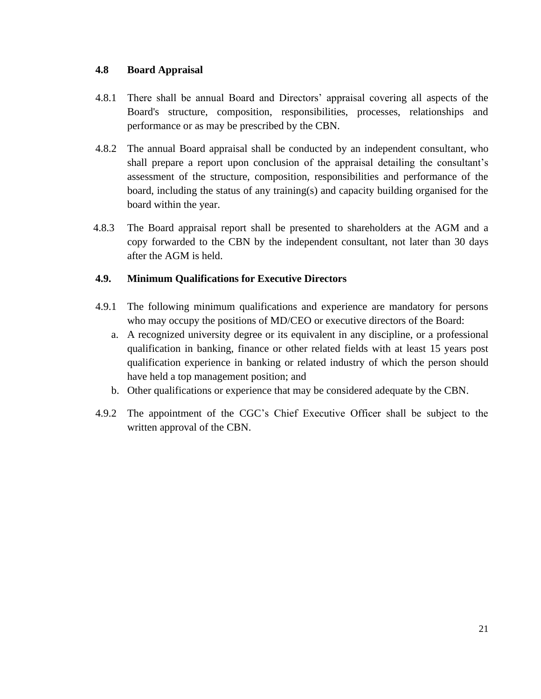## <span id="page-21-0"></span>**4.8 Board Appraisal**

- 4.8.1 There shall be annual Board and Directors' appraisal covering all aspects of the Board's structure, composition, responsibilities, processes, relationships and performance or as may be prescribed by the CBN.
- 4.8.2 The annual Board appraisal shall be conducted by an independent consultant, who shall prepare a report upon conclusion of the appraisal detailing the consultant's assessment of the structure, composition, responsibilities and performance of the board, including the status of any training(s) and capacity building organised for the board within the year.
- 4.8.3 The Board appraisal report shall be presented to shareholders at the AGM and a copy forwarded to the CBN by the independent consultant, not later than 30 days after the AGM is held.

# <span id="page-21-1"></span>**4.9. Minimum Qualifications for Executive Directors**

- 4.9.1 The following minimum qualifications and experience are mandatory for persons who may occupy the positions of MD/CEO or executive directors of the Board:
	- a. A recognized university degree or its equivalent in any discipline, or a professional qualification in banking, finance or other related fields with at least 15 years post qualification experience in banking or related industry of which the person should have held a top management position; and
	- b. Other qualifications or experience that may be considered adequate by the CBN.
- 4.9.2 The appointment of the CGC's Chief Executive Officer shall be subject to the written approval of the CBN.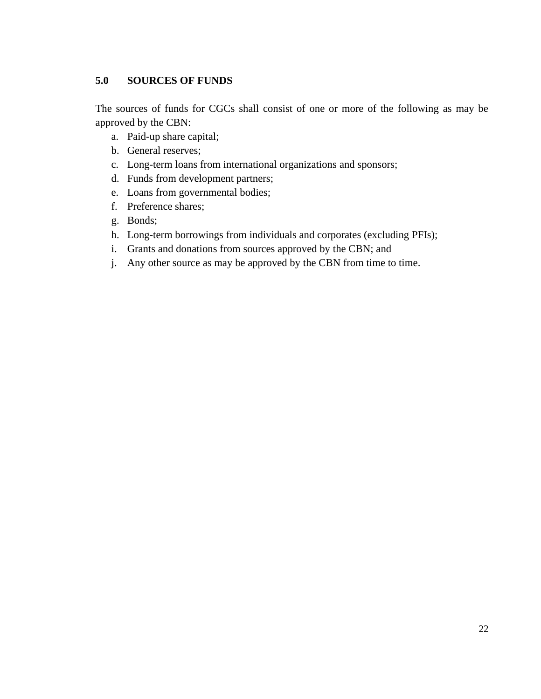# <span id="page-22-0"></span>**5.0 SOURCES OF FUNDS**

The sources of funds for CGCs shall consist of one or more of the following as may be approved by the CBN:

- a. Paid-up share capital;
- b. General reserves;
- c. Long-term loans from international organizations and sponsors;
- d. Funds from development partners;
- e. Loans from governmental bodies;
- f. Preference shares;
- g. Bonds;
- h. Long-term borrowings from individuals and corporates (excluding PFIs);
- i. Grants and donations from sources approved by the CBN; and
- j. Any other source as may be approved by the CBN from time to time.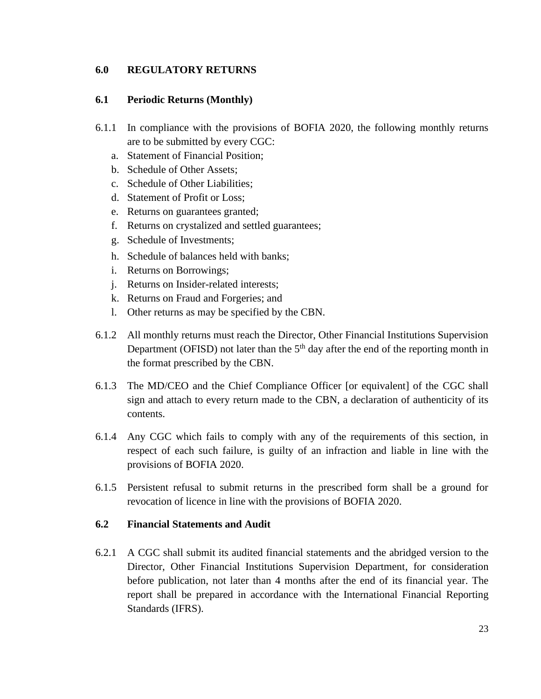## <span id="page-23-0"></span>**6.0 REGULATORY RETURNS**

#### <span id="page-23-1"></span>**6.1 Periodic Returns (Monthly)**

- 6.1.1 In compliance with the provisions of BOFIA 2020, the following monthly returns are to be submitted by every CGC:
	- a. Statement of Financial Position;
	- b. Schedule of Other Assets;
	- c. Schedule of Other Liabilities;
	- d. Statement of Profit or Loss;
	- e. Returns on guarantees granted;
	- f. Returns on crystalized and settled guarantees;
	- g. Schedule of Investments;
	- h. Schedule of balances held with banks;
	- i. Returns on Borrowings;
	- j. Returns on Insider-related interests;
	- k. Returns on Fraud and Forgeries; and
	- l. Other returns as may be specified by the CBN.
- 6.1.2 All monthly returns must reach the Director, Other Financial Institutions Supervision Department (OFISD) not later than the  $5<sup>th</sup>$  day after the end of the reporting month in the format prescribed by the CBN.
- 6.1.3 The MD/CEO and the Chief Compliance Officer [or equivalent] of the CGC shall sign and attach to every return made to the CBN, a declaration of authenticity of its contents.
- 6.1.4 Any CGC which fails to comply with any of the requirements of this section, in respect of each such failure, is guilty of an infraction and liable in line with the provisions of BOFIA 2020.
- 6.1.5 Persistent refusal to submit returns in the prescribed form shall be a ground for revocation of licence in line with the provisions of BOFIA 2020.

#### <span id="page-23-2"></span>**6.2 Financial Statements and Audit**

6.2.1 A CGC shall submit its audited financial statements and the abridged version to the Director, Other Financial Institutions Supervision Department, for consideration before publication, not later than 4 months after the end of its financial year. The report shall be prepared in accordance with the International Financial Reporting Standards (IFRS).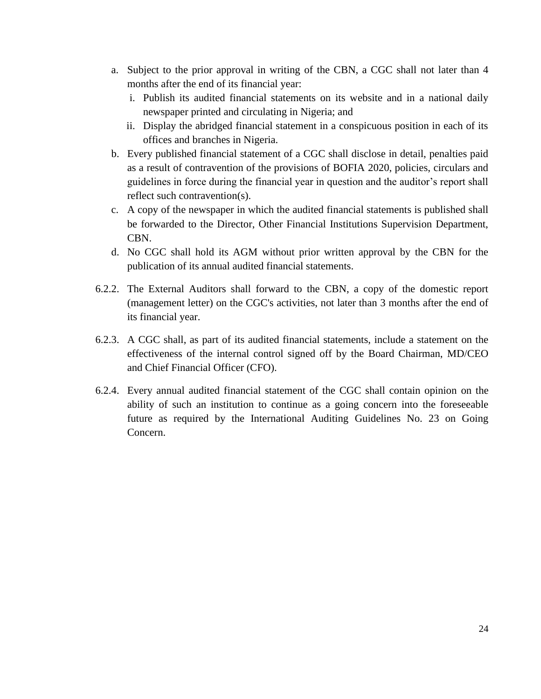- a. Subject to the prior approval in writing of the CBN, a CGC shall not later than 4 months after the end of its financial year:
	- i. Publish its audited financial statements on its website and in a national daily newspaper printed and circulating in Nigeria; and
	- ii. Display the abridged financial statement in a conspicuous position in each of its offices and branches in Nigeria.
- b. Every published financial statement of a CGC shall disclose in detail, penalties paid as a result of contravention of the provisions of BOFIA 2020, policies, circulars and guidelines in force during the financial year in question and the auditor's report shall reflect such contravention(s).
- c. A copy of the newspaper in which the audited financial statements is published shall be forwarded to the Director, Other Financial Institutions Supervision Department, CBN.
- d. No CGC shall hold its AGM without prior written approval by the CBN for the publication of its annual audited financial statements.
- 6.2.2. The External Auditors shall forward to the CBN, a copy of the domestic report (management letter) on the CGC's activities, not later than 3 months after the end of its financial year.
- 6.2.3. A CGC shall, as part of its audited financial statements, include a statement on the effectiveness of the internal control signed off by the Board Chairman, MD/CEO and Chief Financial Officer (CFO).
- 6.2.4. Every annual audited financial statement of the CGC shall contain opinion on the ability of such an institution to continue as a going concern into the foreseeable future as required by the International Auditing Guidelines No. 23 on Going Concern.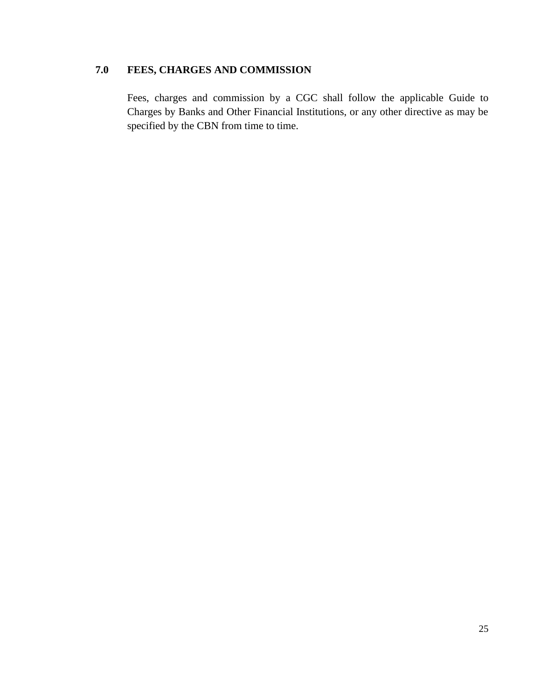# <span id="page-25-0"></span>**7.0 FEES, CHARGES AND COMMISSION**

Fees, charges and commission by a CGC shall follow the applicable Guide to Charges by Banks and Other Financial Institutions, or any other directive as may be specified by the CBN from time to time.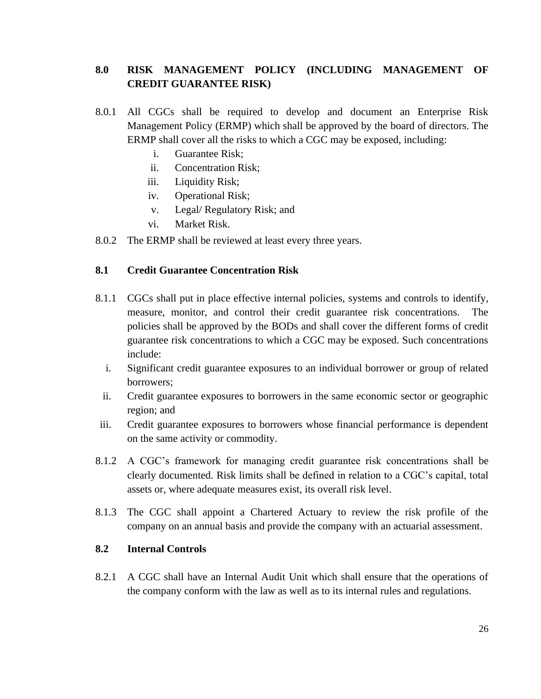# <span id="page-26-0"></span>**8.0 RISK MANAGEMENT POLICY (INCLUDING MANAGEMENT OF CREDIT GUARANTEE RISK)**

- 8.0.1 All CGCs shall be required to develop and document an Enterprise Risk Management Policy (ERMP) which shall be approved by the board of directors. The ERMP shall cover all the risks to which a CGC may be exposed, including:
	- i. Guarantee Risk;
	- ii. Concentration Risk;
	- iii. Liquidity Risk;
	- iv. Operational Risk;
	- v. Legal/ Regulatory Risk; and
	- vi. Market Risk.
- 8.0.2 The ERMP shall be reviewed at least every three years.

# <span id="page-26-1"></span>**8.1 Credit Guarantee Concentration Risk**

- 8.1.1 CGCs shall put in place effective internal policies, systems and controls to identify, measure, monitor, and control their credit guarantee risk concentrations. policies shall be approved by the BODs and shall cover the different forms of credit guarantee risk concentrations to which a CGC may be exposed. Such concentrations include:
	- i. Significant credit guarantee exposures to an individual borrower or group of related borrowers;
	- ii. Credit guarantee exposures to borrowers in the same economic sector or geographic region; and
- iii. Credit guarantee exposures to borrowers whose financial performance is dependent on the same activity or commodity.
- 8.1.2 A CGC's framework for managing credit guarantee risk concentrations shall be clearly documented. Risk limits shall be defined in relation to a CGC's capital, total assets or, where adequate measures exist, its overall risk level.
- 8.1.3 The CGC shall appoint a Chartered Actuary to review the risk profile of the company on an annual basis and provide the company with an actuarial assessment.

# <span id="page-26-2"></span>**8.2 Internal Controls**

8.2.1 A CGC shall have an Internal Audit Unit which shall ensure that the operations of the company conform with the law as well as to its internal rules and regulations.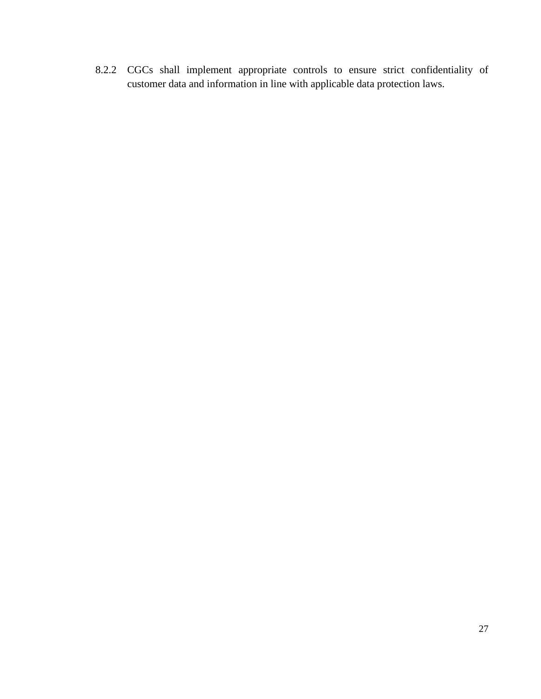8.2.2 CGCs shall implement appropriate controls to ensure strict confidentiality of customer data and information in line with applicable data protection laws.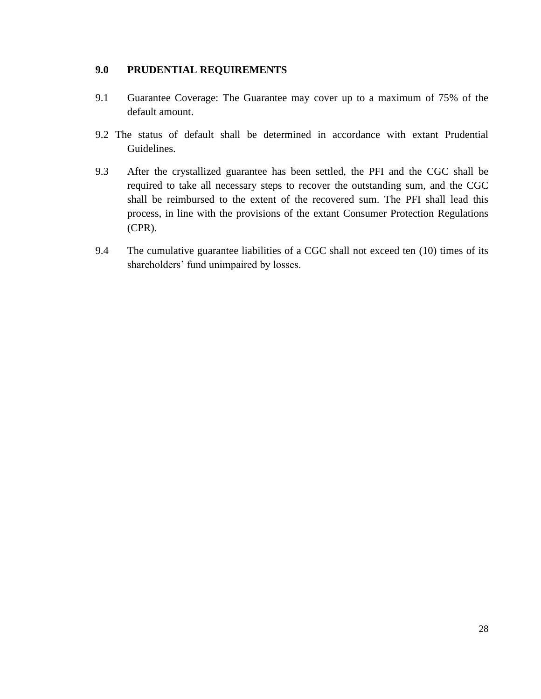# <span id="page-28-0"></span>**9.0 PRUDENTIAL REQUIREMENTS**

- 9.1 Guarantee Coverage: The Guarantee may cover up to a maximum of 75% of the default amount.
- 9.2 The status of default shall be determined in accordance with extant Prudential Guidelines.
- 9.3 After the crystallized guarantee has been settled, the PFI and the CGC shall be required to take all necessary steps to recover the outstanding sum, and the CGC shall be reimbursed to the extent of the recovered sum. The PFI shall lead this process, in line with the provisions of the extant Consumer Protection Regulations (CPR).
- 9.4 The cumulative guarantee liabilities of a CGC shall not exceed ten (10) times of its shareholders' fund unimpaired by losses.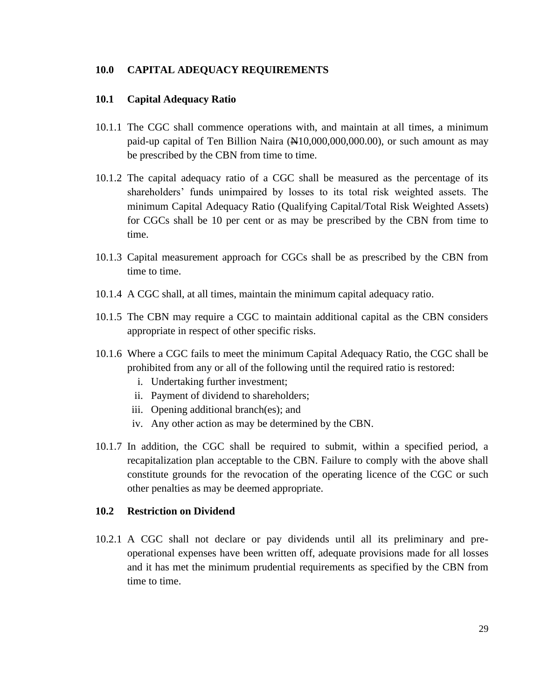#### <span id="page-29-0"></span>**10.0 CAPITAL ADEQUACY REQUIREMENTS**

#### <span id="page-29-1"></span>**10.1 Capital Adequacy Ratio**

- 10.1.1 The CGC shall commence operations with, and maintain at all times, a minimum paid-up capital of Ten Billion Naira  $(\mathbb{H}10,000,000,000,00)$ , or such amount as may be prescribed by the CBN from time to time.
- 10.1.2 The capital adequacy ratio of a CGC shall be measured as the percentage of its shareholders' funds unimpaired by losses to its total risk weighted assets. The minimum Capital Adequacy Ratio (Qualifying Capital/Total Risk Weighted Assets) for CGCs shall be 10 per cent or as may be prescribed by the CBN from time to time.
- 10.1.3 Capital measurement approach for CGCs shall be as prescribed by the CBN from time to time.
- 10.1.4 A CGC shall, at all times, maintain the minimum capital adequacy ratio.
- 10.1.5 The CBN may require a CGC to maintain additional capital as the CBN considers appropriate in respect of other specific risks.
- 10.1.6 Where a CGC fails to meet the minimum Capital Adequacy Ratio, the CGC shall be prohibited from any or all of the following until the required ratio is restored:
	- i. Undertaking further investment;
	- ii. Payment of dividend to shareholders;
	- iii. Opening additional branch(es); and
	- iv. Any other action as may be determined by the CBN.
- 10.1.7 In addition, the CGC shall be required to submit, within a specified period, a recapitalization plan acceptable to the CBN. Failure to comply with the above shall constitute grounds for the revocation of the operating licence of the CGC or such other penalties as may be deemed appropriate.

#### <span id="page-29-2"></span>**10.2 Restriction on Dividend**

10.2.1 A CGC shall not declare or pay dividends until all its preliminary and preoperational expenses have been written off, adequate provisions made for all losses and it has met the minimum prudential requirements as specified by the CBN from time to time.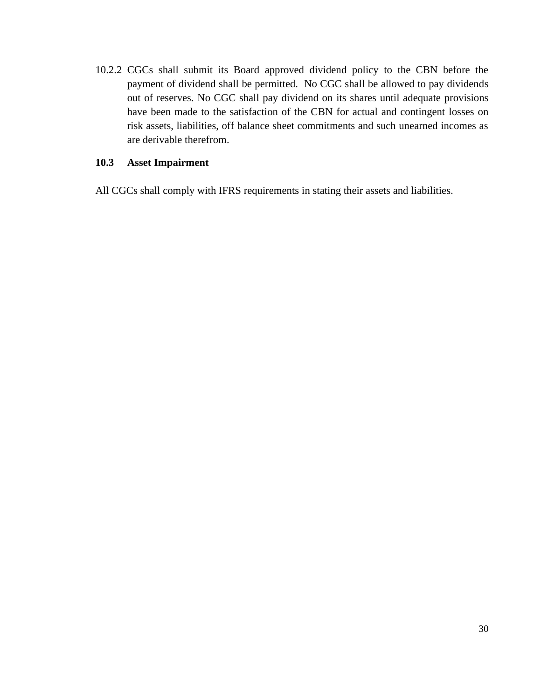10.2.2 CGCs shall submit its Board approved dividend policy to the CBN before the payment of dividend shall be permitted. No CGC shall be allowed to pay dividends out of reserves. No CGC shall pay dividend on its shares until adequate provisions have been made to the satisfaction of the CBN for actual and contingent losses on risk assets, liabilities, off balance sheet commitments and such unearned incomes as are derivable therefrom.

## <span id="page-30-0"></span>**10.3 Asset Impairment**

All CGCs shall comply with IFRS requirements in stating their assets and liabilities.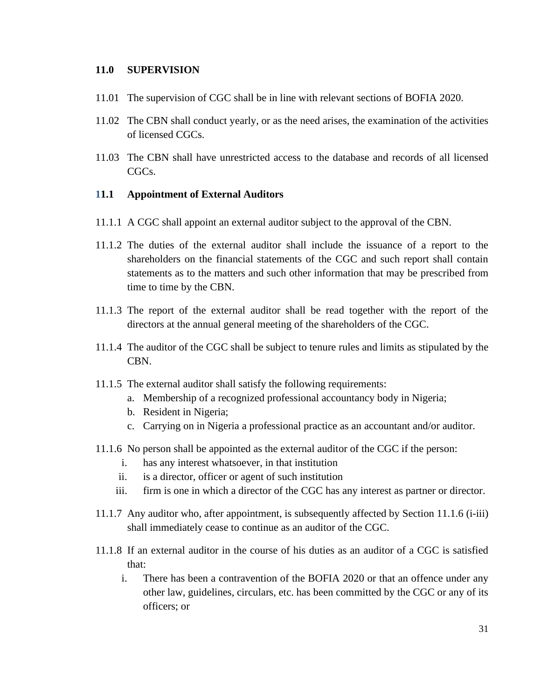#### <span id="page-31-0"></span>**11.0 SUPERVISION**

- 11.01 The supervision of CGC shall be in line with relevant sections of BOFIA 2020.
- 11.02 The CBN shall conduct yearly, or as the need arises, the examination of the activities of licensed CGCs.
- 11.03 The CBN shall have unrestricted access to the database and records of all licensed CGCs.

#### <span id="page-31-1"></span>**11.1 Appointment of External Auditors**

- 11.1.1 A CGC shall appoint an external auditor subject to the approval of the CBN.
- 11.1.2 The duties of the external auditor shall include the issuance of a report to the shareholders on the financial statements of the CGC and such report shall contain statements as to the matters and such other information that may be prescribed from time to time by the CBN.
- 11.1.3 The report of the external auditor shall be read together with the report of the directors at the annual general meeting of the shareholders of the CGC.
- 11.1.4 The auditor of the CGC shall be subject to tenure rules and limits as stipulated by the CBN.
- 11.1.5 The external auditor shall satisfy the following requirements:
	- a. Membership of a recognized professional accountancy body in Nigeria;
	- b. Resident in Nigeria;
	- c. Carrying on in Nigeria a professional practice as an accountant and/or auditor.
- 11.1.6 No person shall be appointed as the external auditor of the CGC if the person:
	- i. has any interest whatsoever, in that institution
	- ii. is a director, officer or agent of such institution
	- iii. firm is one in which a director of the CGC has any interest as partner or director.
- 11.1.7 Any auditor who, after appointment, is subsequently affected by Section 11.1.6 (i-iii) shall immediately cease to continue as an auditor of the CGC.
- 11.1.8 If an external auditor in the course of his duties as an auditor of a CGC is satisfied that:
	- i. There has been a contravention of the BOFIA 2020 or that an offence under any other law, guidelines, circulars, etc. has been committed by the CGC or any of its officers; or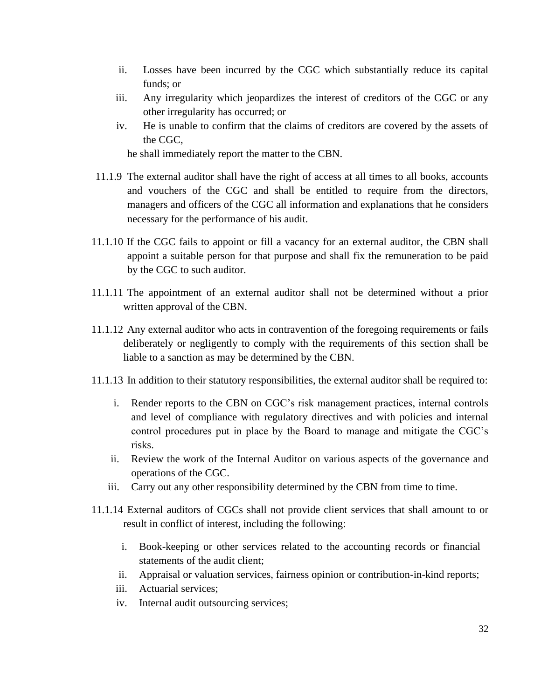- ii. Losses have been incurred by the CGC which substantially reduce its capital funds; or
- iii. Any irregularity which jeopardizes the interest of creditors of the CGC or any other irregularity has occurred; or
- iv. He is unable to confirm that the claims of creditors are covered by the assets of the CGC,

he shall immediately report the matter to the CBN.

- 11.1.9 The external auditor shall have the right of access at all times to all books, accounts and vouchers of the CGC and shall be entitled to require from the directors, managers and officers of the CGC all information and explanations that he considers necessary for the performance of his audit.
- 11.1.10 If the CGC fails to appoint or fill a vacancy for an external auditor, the CBN shall appoint a suitable person for that purpose and shall fix the remuneration to be paid by the CGC to such auditor.
- 11.1.11 The appointment of an external auditor shall not be determined without a prior written approval of the CBN.
- 11.1.12 Any external auditor who acts in contravention of the foregoing requirements or fails deliberately or negligently to comply with the requirements of this section shall be liable to a sanction as may be determined by the CBN.
- 11.1.13 In addition to their statutory responsibilities, the external auditor shall be required to:
	- i. Render reports to the CBN on CGC's risk management practices, internal controls and level of compliance with regulatory directives and with policies and internal control procedures put in place by the Board to manage and mitigate the CGC's risks.
	- ii. Review the work of the Internal Auditor on various aspects of the governance and operations of the CGC.
	- iii. Carry out any other responsibility determined by the CBN from time to time.
- 11.1.14 External auditors of CGCs shall not provide client services that shall amount to or result in conflict of interest, including the following:
	- i. Book-keeping or other services related to the accounting records or financial statements of the audit client;
	- ii. Appraisal or valuation services, fairness opinion or contribution-in-kind reports;
	- iii. Actuarial services;
	- iv. Internal audit outsourcing services;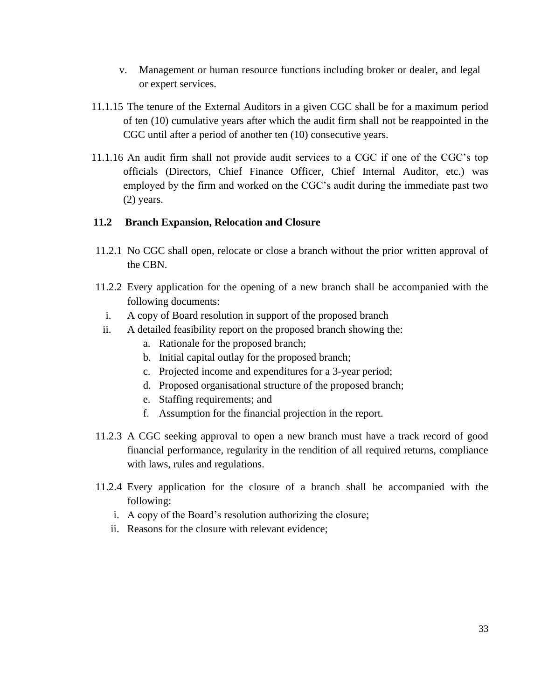- v. Management or human resource functions including broker or dealer, and legal or expert services.
- 11.1.15 The tenure of the External Auditors in a given CGC shall be for a maximum period of ten (10) cumulative years after which the audit firm shall not be reappointed in the CGC until after a period of another ten (10) consecutive years.
- 11.1.16 An audit firm shall not provide audit services to a CGC if one of the CGC's top officials (Directors, Chief Finance Officer, Chief Internal Auditor, etc.) was employed by the firm and worked on the CGC's audit during the immediate past two (2) years.

# <span id="page-33-0"></span>**11.2 Branch Expansion, Relocation and Closure**

- 11.2.1 No CGC shall open, relocate or close a branch without the prior written approval of the CBN.
- 11.2.2 Every application for the opening of a new branch shall be accompanied with the following documents:
	- i. A copy of Board resolution in support of the proposed branch
	- ii. A detailed feasibility report on the proposed branch showing the:
		- a. Rationale for the proposed branch;
		- b. Initial capital outlay for the proposed branch;
		- c. Projected income and expenditures for a 3-year period;
		- d. Proposed organisational structure of the proposed branch;
		- e. Staffing requirements; and
		- f. Assumption for the financial projection in the report.
- 11.2.3 A CGC seeking approval to open a new branch must have a track record of good financial performance, regularity in the rendition of all required returns, compliance with laws, rules and regulations.
- 11.2.4 Every application for the closure of a branch shall be accompanied with the following:
	- i. A copy of the Board's resolution authorizing the closure;
	- ii. Reasons for the closure with relevant evidence;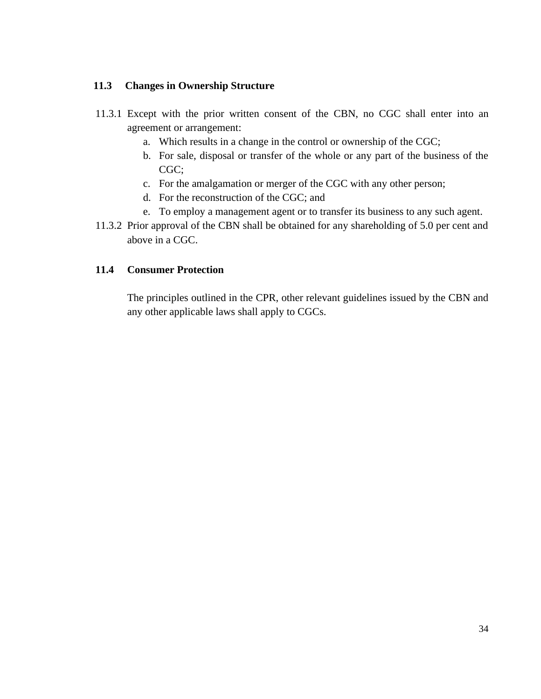## <span id="page-34-0"></span>**11.3 Changes in Ownership Structure**

- 11.3.1 Except with the prior written consent of the CBN, no CGC shall enter into an agreement or arrangement:
	- a. Which results in a change in the control or ownership of the CGC;
	- b. For sale, disposal or transfer of the whole or any part of the business of the CGC;
	- c. For the amalgamation or merger of the CGC with any other person;
	- d. For the reconstruction of the CGC; and
	- e. To employ a management agent or to transfer its business to any such agent.
- 11.3.2 Prior approval of the CBN shall be obtained for any shareholding of 5.0 per cent and above in a CGC.

# <span id="page-34-1"></span>**11.4 Consumer Protection**

The principles outlined in the CPR, other relevant guidelines issued by the CBN and any other applicable laws shall apply to CGCs.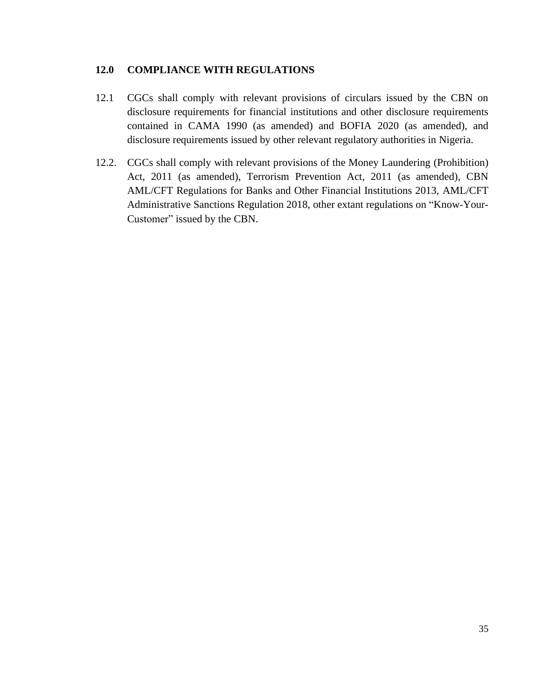# <span id="page-35-0"></span>**12.0 COMPLIANCE WITH REGULATIONS**

- 12.1 CGCs shall comply with relevant provisions of circulars issued by the CBN on disclosure requirements for financial institutions and other disclosure requirements contained in CAMA 1990 (as amended) and BOFIA 2020 (as amended), and disclosure requirements issued by other relevant regulatory authorities in Nigeria.
- 12.2. CGCs shall comply with relevant provisions of the Money Laundering (Prohibition) Act, 2011 (as amended), Terrorism Prevention Act, 2011 (as amended), CBN AML/CFT Regulations for Banks and Other Financial Institutions 2013, AML/CFT Administrative Sanctions Regulation 2018, other extant regulations on "Know-Your-Customer" issued by the CBN.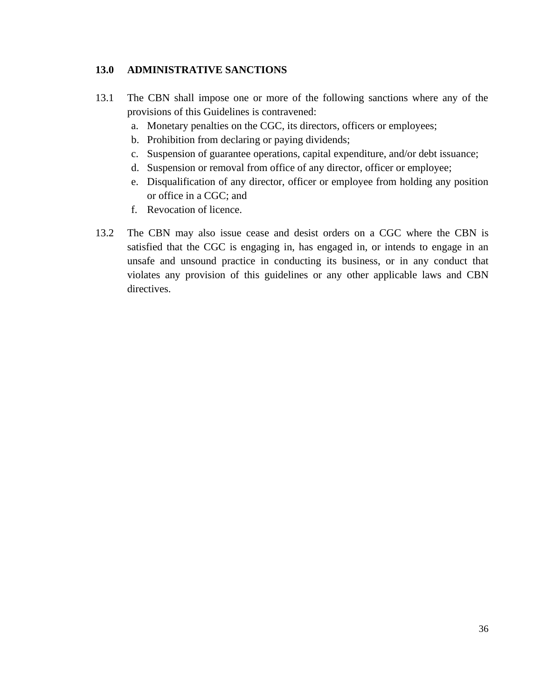# <span id="page-36-0"></span>**13.0 ADMINISTRATIVE SANCTIONS**

- 13.1 The CBN shall impose one or more of the following sanctions where any of the provisions of this Guidelines is contravened:
	- a. Monetary penalties on the CGC, its directors, officers or employees;
	- b. Prohibition from declaring or paying dividends;
	- c. Suspension of guarantee operations, capital expenditure, and/or debt issuance;
	- d. Suspension or removal from office of any director, officer or employee;
	- e. Disqualification of any director, officer or employee from holding any position or office in a CGC; and
	- f. Revocation of licence.
- 13.2 The CBN may also issue cease and desist orders on a CGC where the CBN is satisfied that the CGC is engaging in, has engaged in, or intends to engage in an unsafe and unsound practice in conducting its business, or in any conduct that violates any provision of this guidelines or any other applicable laws and CBN directives.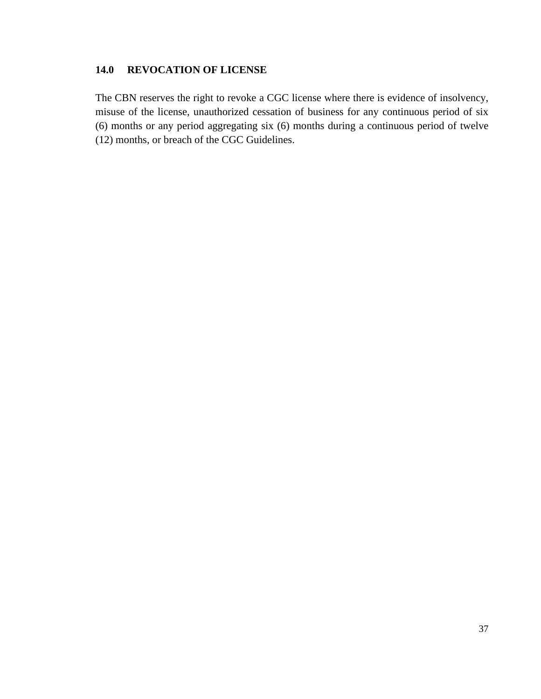# <span id="page-37-0"></span>**14.0 REVOCATION OF LICENSE**

The CBN reserves the right to revoke a CGC license where there is evidence of insolvency, misuse of the license, unauthorized cessation of business for any continuous period of six (6) months or any period aggregating six (6) months during a continuous period of twelve (12) months, or breach of the CGC Guidelines.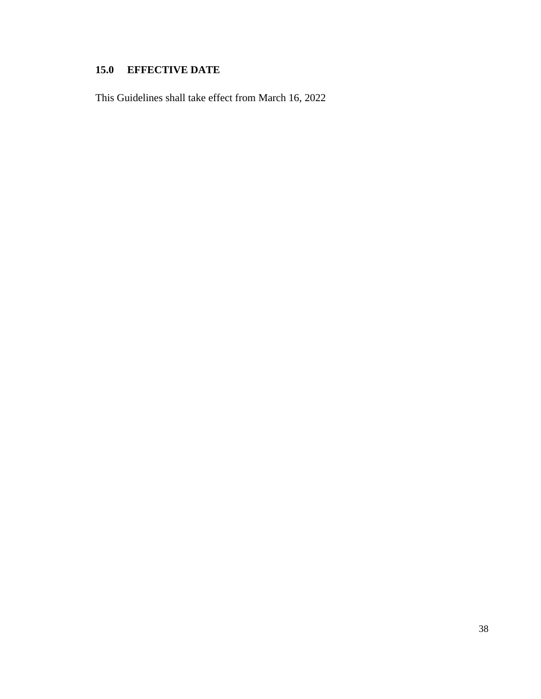# <span id="page-38-0"></span>**15.0 EFFECTIVE DATE**

This Guidelines shall take effect from March 16, 2022